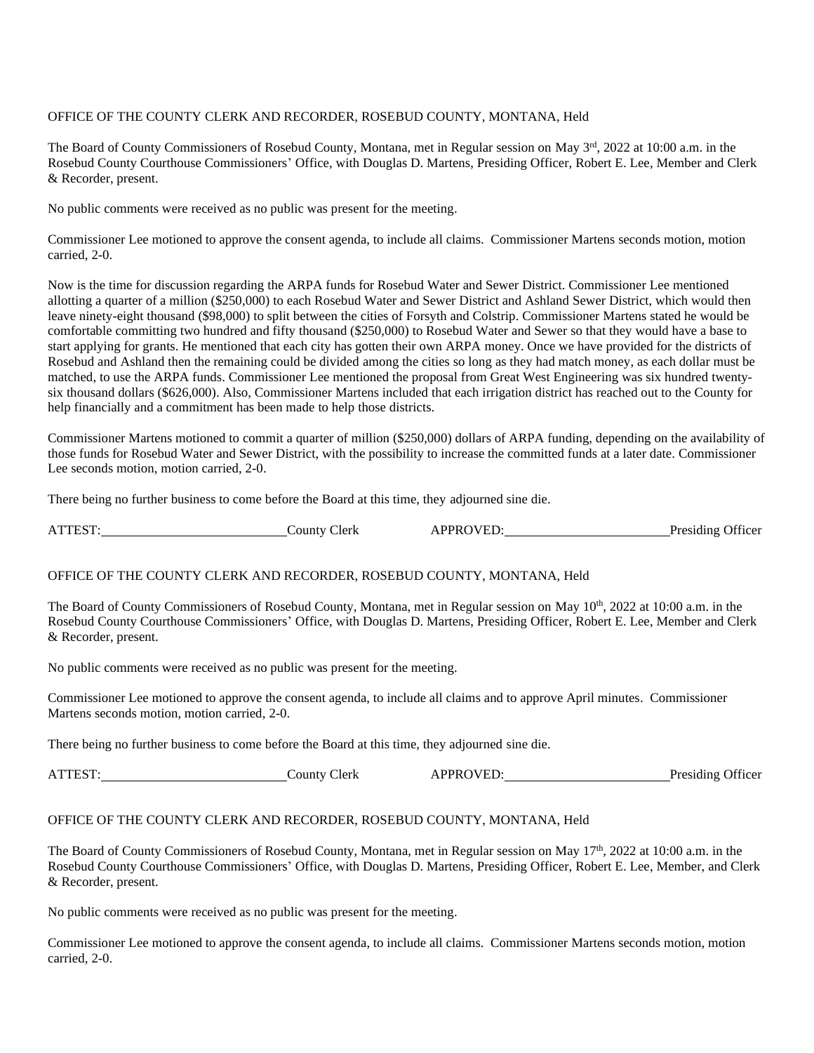## OFFICE OF THE COUNTY CLERK AND RECORDER, ROSEBUD COUNTY, MONTANA, Held

The Board of County Commissioners of Rosebud County, Montana, met in Regular session on May 3rd, 2022 at 10:00 a.m. in the Rosebud County Courthouse Commissioners' Office, with Douglas D. Martens, Presiding Officer, Robert E. Lee, Member and Clerk & Recorder, present.

No public comments were received as no public was present for the meeting.

Commissioner Lee motioned to approve the consent agenda, to include all claims. Commissioner Martens seconds motion, motion carried, 2-0.

Now is the time for discussion regarding the ARPA funds for Rosebud Water and Sewer District. Commissioner Lee mentioned allotting a quarter of a million (\$250,000) to each Rosebud Water and Sewer District and Ashland Sewer District, which would then leave ninety-eight thousand (\$98,000) to split between the cities of Forsyth and Colstrip. Commissioner Martens stated he would be comfortable committing two hundred and fifty thousand (\$250,000) to Rosebud Water and Sewer so that they would have a base to start applying for grants. He mentioned that each city has gotten their own ARPA money. Once we have provided for the districts of Rosebud and Ashland then the remaining could be divided among the cities so long as they had match money, as each dollar must be matched, to use the ARPA funds. Commissioner Lee mentioned the proposal from Great West Engineering was six hundred twentysix thousand dollars (\$626,000). Also, Commissioner Martens included that each irrigation district has reached out to the County for help financially and a commitment has been made to help those districts.

Commissioner Martens motioned to commit a quarter of million (\$250,000) dollars of ARPA funding, depending on the availability of those funds for Rosebud Water and Sewer District, with the possibility to increase the committed funds at a later date. Commissioner Lee seconds motion, motion carried, 2-0.

There being no further business to come before the Board at this time, they adjourned sine die.

ATTEST: County Clerk APPROVED: Presiding Officer

#### OFFICE OF THE COUNTY CLERK AND RECORDER, ROSEBUD COUNTY, MONTANA, Held

The Board of County Commissioners of Rosebud County, Montana, met in Regular session on May 10<sup>th</sup>, 2022 at 10:00 a.m. in the Rosebud County Courthouse Commissioners' Office, with Douglas D. Martens, Presiding Officer, Robert E. Lee, Member and Clerk & Recorder, present.

No public comments were received as no public was present for the meeting.

Commissioner Lee motioned to approve the consent agenda, to include all claims and to approve April minutes. Commissioner Martens seconds motion, motion carried, 2-0.

There being no further business to come before the Board at this time, they adjourned sine die.

ATTEST: County Clerk APPROVED: Presiding Officer

## OFFICE OF THE COUNTY CLERK AND RECORDER, ROSEBUD COUNTY, MONTANA, Held

The Board of County Commissioners of Rosebud County, Montana, met in Regular session on May 17<sup>th</sup>, 2022 at 10:00 a.m. in the Rosebud County Courthouse Commissioners' Office, with Douglas D. Martens, Presiding Officer, Robert E. Lee, Member, and Clerk & Recorder, present.

No public comments were received as no public was present for the meeting.

Commissioner Lee motioned to approve the consent agenda, to include all claims. Commissioner Martens seconds motion, motion carried, 2-0.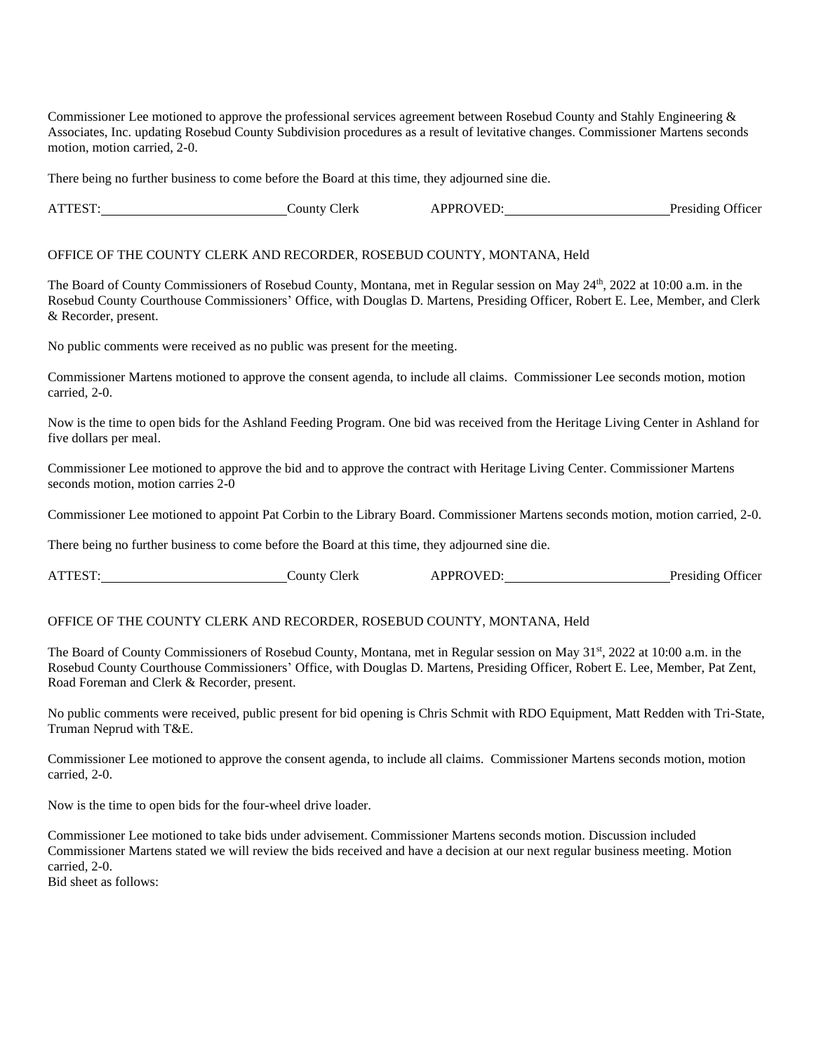Commissioner Lee motioned to approve the professional services agreement between Rosebud County and Stahly Engineering & Associates, Inc. updating Rosebud County Subdivision procedures as a result of levitative changes. Commissioner Martens seconds motion, motion carried, 2-0.

There being no further business to come before the Board at this time, they adjourned sine die.

ATTEST: County Clerk APPROVED: Presiding Officer

#### OFFICE OF THE COUNTY CLERK AND RECORDER, ROSEBUD COUNTY, MONTANA, Held

The Board of County Commissioners of Rosebud County, Montana, met in Regular session on May 24<sup>th</sup>, 2022 at 10:00 a.m. in the Rosebud County Courthouse Commissioners' Office, with Douglas D. Martens, Presiding Officer, Robert E. Lee, Member, and Clerk & Recorder, present.

No public comments were received as no public was present for the meeting.

Commissioner Martens motioned to approve the consent agenda, to include all claims. Commissioner Lee seconds motion, motion carried, 2-0.

Now is the time to open bids for the Ashland Feeding Program. One bid was received from the Heritage Living Center in Ashland for five dollars per meal.

Commissioner Lee motioned to approve the bid and to approve the contract with Heritage Living Center. Commissioner Martens seconds motion, motion carries 2-0

Commissioner Lee motioned to appoint Pat Corbin to the Library Board. Commissioner Martens seconds motion, motion carried, 2-0.

There being no further business to come before the Board at this time, they adjourned sine die.

ATTEST: County Clerk APPROVED: Presiding Officer

## OFFICE OF THE COUNTY CLERK AND RECORDER, ROSEBUD COUNTY, MONTANA, Held

The Board of County Commissioners of Rosebud County, Montana, met in Regular session on May 31st, 2022 at 10:00 a.m. in the Rosebud County Courthouse Commissioners' Office, with Douglas D. Martens, Presiding Officer, Robert E. Lee, Member, Pat Zent, Road Foreman and Clerk & Recorder, present.

No public comments were received, public present for bid opening is Chris Schmit with RDO Equipment, Matt Redden with Tri-State, Truman Neprud with T&E.

Commissioner Lee motioned to approve the consent agenda, to include all claims. Commissioner Martens seconds motion, motion carried, 2-0.

Now is the time to open bids for the four-wheel drive loader.

Commissioner Lee motioned to take bids under advisement. Commissioner Martens seconds motion. Discussion included Commissioner Martens stated we will review the bids received and have a decision at our next regular business meeting. Motion carried, 2-0.

Bid sheet as follows: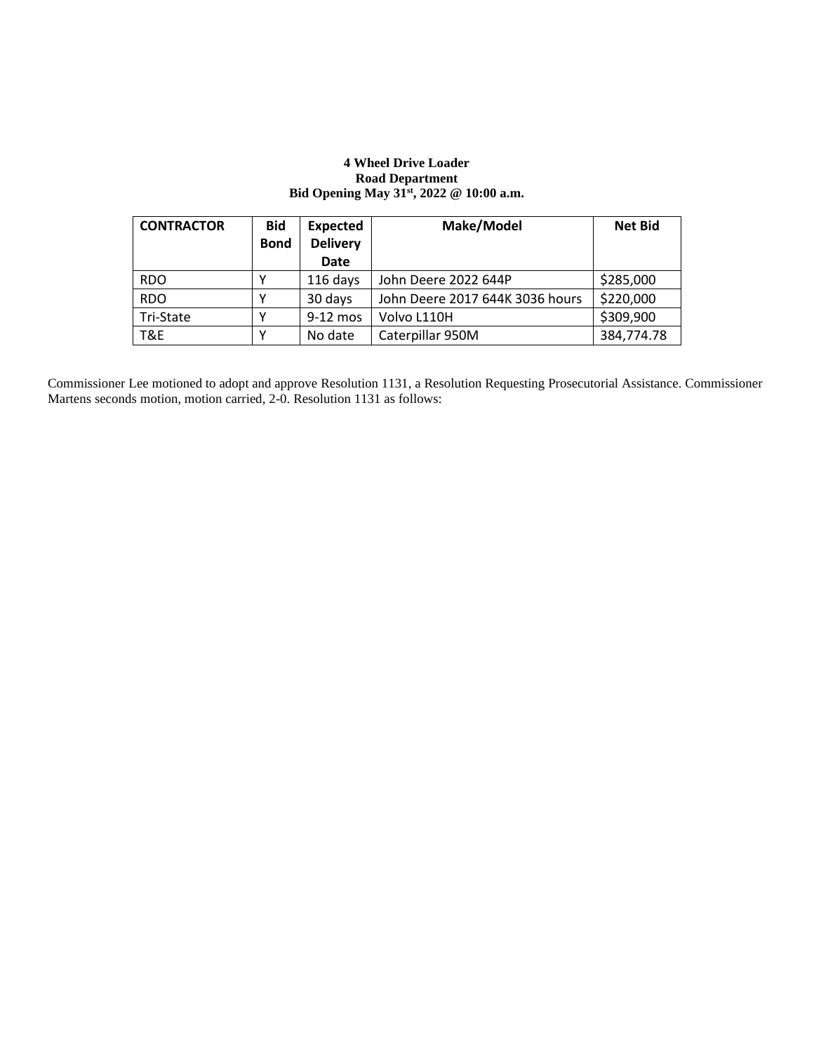## **4 Wheel Drive Loader Road Department Bid Opening May 31st, 2022 @ 10:00 a.m.**

| <b>CONTRACTOR</b> | <b>Bid</b>  | <b>Expected</b> | Make/Model                      | <b>Net Bid</b> |
|-------------------|-------------|-----------------|---------------------------------|----------------|
|                   | <b>Bond</b> | <b>Delivery</b> |                                 |                |
|                   |             | Date            |                                 |                |
| <b>RDO</b>        |             | 116 days        | John Deere 2022 644P            | \$285,000      |
| <b>RDO</b>        |             | 30 days         | John Deere 2017 644K 3036 hours | \$220,000      |
| Tri-State         |             | 9-12 mos        | Volvo L110H                     | \$309,900      |
| T&E               |             | No date         | Caterpillar 950M                | 384,774.78     |

Commissioner Lee motioned to adopt and approve Resolution 1131, a Resolution Requesting Prosecutorial Assistance. Commissioner Martens seconds motion, motion carried, 2-0. Resolution 1131 as follows: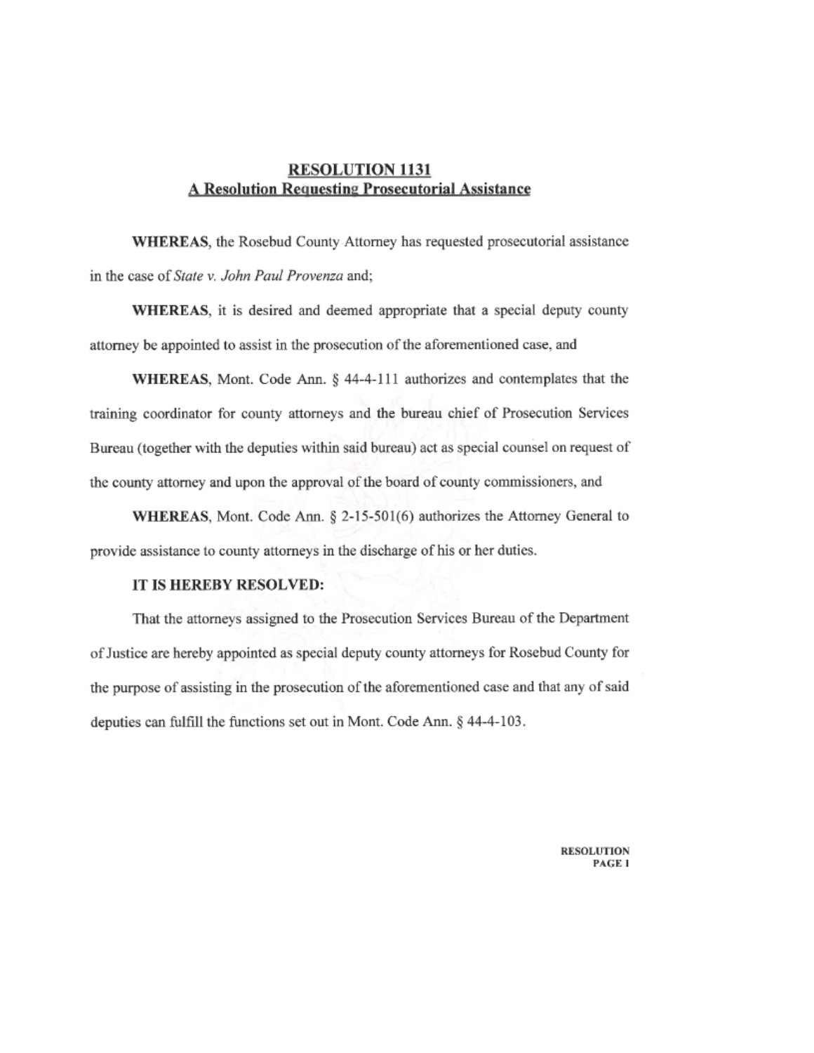# **RESOLUTION 1131 A Resolution Requesting Prosecutorial Assistance**

WHEREAS, the Rosebud County Attorney has requested prosecutorial assistance in the case of State v. John Paul Provenza and;

WHEREAS, it is desired and deemed appropriate that a special deputy county attorney be appointed to assist in the prosecution of the aforementioned case, and

WHEREAS, Mont. Code Ann. § 44-4-111 authorizes and contemplates that the training coordinator for county attorneys and the bureau chief of Prosecution Services Bureau (together with the deputies within said bureau) act as special counsel on request of the county attorney and upon the approval of the board of county commissioners, and

WHEREAS, Mont. Code Ann. § 2-15-501(6) authorizes the Attorney General to provide assistance to county attorneys in the discharge of his or her duties.

# IT IS HEREBY RESOLVED:

That the attorneys assigned to the Prosecution Services Bureau of the Department of Justice are hereby appointed as special deputy county attorneys for Rosebud County for the purpose of assisting in the prosecution of the aforementioned case and that any of said deputies can fulfill the functions set out in Mont. Code Ann. § 44-4-103.

> **RESOLUTION** PAGE 1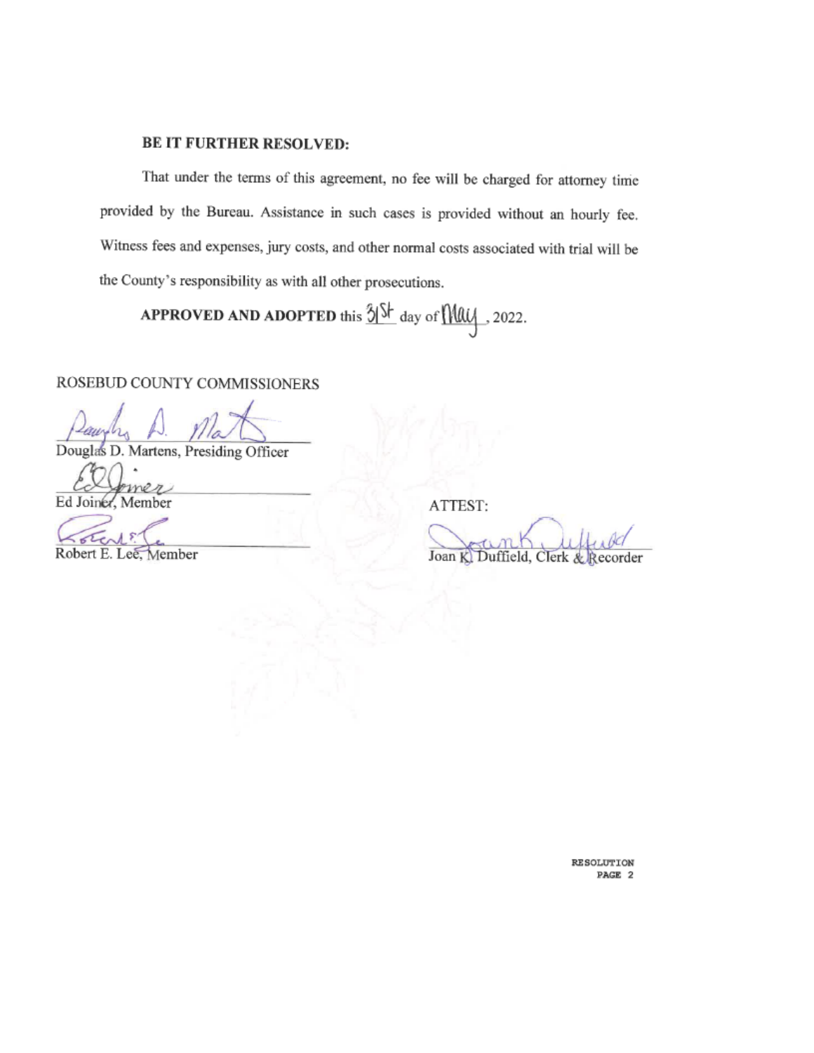# **BE IT FURTHER RESOLVED:**

That under the terms of this agreement, no fee will be charged for attorney time provided by the Bureau. Assistance in such cases is provided without an hourly fee. Witness fees and expenses, jury costs, and other normal costs associated with trial will be the County's responsibility as with all other prosecutions.

**APPROVED AND ADOPTED** this  $\frac{3}{5}$   $\frac{5}{5}$  day of  $\frac{1}{10}$ , 2022.

# ROSEBUD COUNTY COMMISSIONERS

Law

Douglas D. Martens, Presiding Officer

n Ed Joiner, Member

Robert E. Lee, Member

ATTEST:

Joan K. Duffield, Clerk & Recorder

RESOLUTION PAGE 2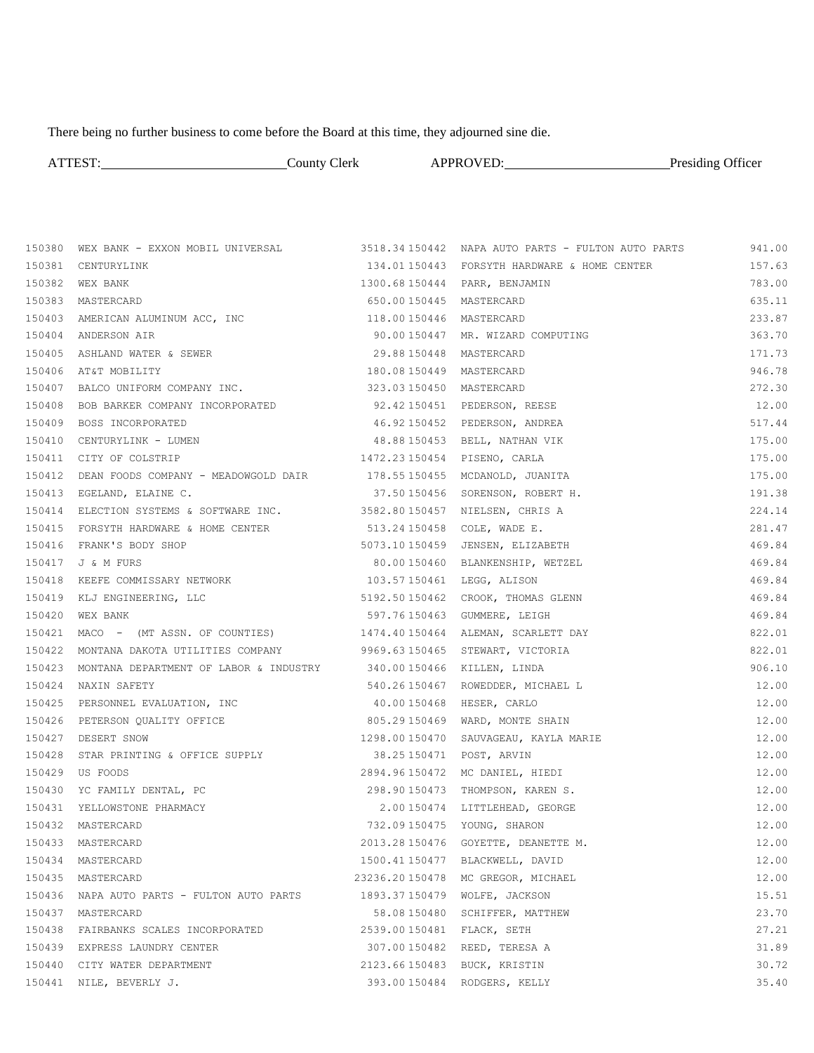There being no further business to come before the Board at this time, they adjourned sine die.

|        | ATTEST: County Clerk APPROVED: Presiding Officer                                                                                                               |                         |                                              |        |
|--------|----------------------------------------------------------------------------------------------------------------------------------------------------------------|-------------------------|----------------------------------------------|--------|
|        |                                                                                                                                                                |                         |                                              |        |
|        | 150380 WEX BANK - EXXON MOBIL UNIVERSAL 3518.34 150442 NAPA AUTO PARTS - FULTON AUTO PARTS 341.00                                                              |                         |                                              |        |
|        | 150381 CENTURYLINK                                                                                                                                             |                         | 134.01 150443 FORSYTH HARDWARE & HOME CENTER | 157.63 |
|        | 150382 WEX BANK                                                                                                                                                |                         |                                              | 783.00 |
|        | 150383 MASTERCARD                                                                                                                                              |                         | 650.00150445 MASTERCARD                      | 635.11 |
|        | 150403 AMERICAN ALUMINUM ACC, INC 118.00150446 MASTERCARD                                                                                                      |                         |                                              | 233.87 |
|        | 150404 ANDERSON AIR                                                                                                                                            |                         | 90.00150447 MR. WIZARD COMPUTING             | 363.70 |
|        | 150405 ASHLAND WATER & SEWER                                                                                                                                   | 29.88 150448 MASTERCARD |                                              | 171.73 |
|        | 150406 AT&T MOBILITY                                                                                                                                           |                         | 180.08150449 MASTERCARD                      | 946.78 |
|        | 150407 BALCO UNIFORM COMPANY INC.                                                                                                                              |                         | 323.03150450 MASTERCARD                      | 272.30 |
|        | 150408 BOB BARKER COMPANY INCORPORATED 52.42150451 PEDERSON, REESE                                                                                             |                         |                                              | 12.00  |
|        | 150409 BOSS INCORPORATED                                                                                                                                       |                         | 46.92150452 PEDERSON, ANDREA                 | 517.44 |
|        | 150410 CENTURYLINK - LUMEN                                                                                                                                     |                         | 48.88 150453 BELL, NATHAN VIK                | 175.00 |
|        | 150411 CITY OF COLSTRIP                                                                                                                                        |                         | 1472.23 150454 PISENO, CARLA                 | 175.00 |
|        | 150412 DEAN FOODS COMPANY - MEADOWGOLD DAIR 178.55150455 MCDANOLD, JUANITA                                                                                     |                         |                                              | 175.00 |
|        | 150413 EGELAND, ELAINE C.                                                                                                                                      |                         | 37.50 150456  SORENSON, ROBERT H.            | 191.38 |
|        | 150414 ELECTION SYSTEMS & SOFTWARE INC. 3582.80150457 NIELSEN, CHRIS A                                                                                         |                         |                                              | 224.14 |
|        | 150415 FORSYTH HARDWARE & HOME CENTER 513.24 150458 COLE, WADE E.                                                                                              |                         |                                              | 281.47 |
|        | 150416 FRANK'S BODY SHOP                                                                                                                                       |                         | 5073.10150459 JENSEN, ELIZABETH              | 469.84 |
|        | 150417 J & M FURS                                                                                                                                              |                         | 80.00150460 BLANKENSHIP, WETZEL              | 469.84 |
|        | 150418 KEEFE COMMISSARY NETWORK                                                                                                                                |                         | 103.57150461 LEGG, ALISON                    | 469.84 |
|        | 150419 KLJ ENGINEERING, LLC 1999 1999.50150462 CROOK, THOMAS GLENN                                                                                             |                         |                                              | 469.84 |
|        | 150420 WEX BANK                                                                                                                                                |                         | 597.76 150463 GUMMERE, LEIGH                 | 469.84 |
|        | 150421 MACO - (MT ASSN. OF COUNTIES) 1474.40150464 ALEMAN, SCARLETT DAY                                                                                        |                         |                                              | 822.01 |
|        | 150422 MONTANA DAKOTA UTILITIES COMPANY                                                                                                                        |                         | 9969.63150465 STEWART, VICTORIA              | 822.01 |
|        | 150423 MONTANA DEPARTMENT OF LABOR & INDUSTRY 340.00150466 KILLEN, LINDA                                                                                       |                         |                                              | 906.10 |
|        | 150424 NAXIN SAFETY                                                                                                                                            |                         | 540.26150467 ROWEDDER, MICHAEL L             | 12.00  |
|        | 150425 PERSONNEL EVALUATION, INC<br>40.00150468 HESER, CARLO                                                                                                   |                         |                                              | 12.00  |
|        |                                                                                                                                                                |                         |                                              | 12.00  |
|        | 150426 PETERSON QUALITY OFFICE 805.29150469 WARD, MONTE SHAIN<br>150427 DESERT SNOW 1298.00150470 SAUVAGEAU, KAYLA MARIE<br>150409 STAR PEAMENT CORRECT SUPPAY |                         |                                              | 12.00  |
|        | 150428 STAR PRINTING & OFFICE SUPPLY 38.25150471 POST, ARVIN                                                                                                   |                         |                                              | 12.00  |
|        | 150429 US FOODS                                                                                                                                                |                         | 2894.96150472 MC DANIEL, HIEDI               | 12.00  |
|        | 150430 YC FAMILY DENTAL, PC                                                                                                                                    |                         | 298.90150473 THOMPSON, KAREN S.              | 12.00  |
| 150431 | YELLOWSTONE PHARMACY                                                                                                                                           |                         | 2.00150474 LITTLEHEAD, GEORGE                | 12.00  |
| 150432 | MASTERCARD                                                                                                                                                     |                         | 732.09 150475 YOUNG, SHARON                  | 12.00  |
| 150433 | MASTERCARD                                                                                                                                                     |                         | 2013.28 150476 GOYETTE, DEANETTE M.          | 12.00  |
| 150434 | MASTERCARD                                                                                                                                                     |                         | 1500.41150477 BLACKWELL, DAVID               | 12.00  |
|        | 150435 MASTERCARD                                                                                                                                              |                         | 23236.20150478 MC GREGOR, MICHAEL            | 12.00  |
|        | 150436  NAPA AUTO PARTS - FULTON AUTO PARTS                                                                                                                    |                         | 1893.37150479 WOLFE, JACKSON                 | 15.51  |
|        | 150437 MASTERCARD                                                                                                                                              |                         | 58.08150480 SCHIFFER, MATTHEW                | 23.70  |
|        | 150438 FAIRBANKS SCALES INCORPORATED                                                                                                                           |                         | 2539.00150481 FLACK, SETH                    | 27.21  |
|        | 150439 EXPRESS LAUNDRY CENTER                                                                                                                                  |                         | 307.00150482 REED, TERESA A                  | 31.89  |
|        | 150440 CITY WATER DEPARTMENT                                                                                                                                   |                         | 2123.66150483 BUCK, KRISTIN                  | 30.72  |
| 150441 | NILE, BEVERLY J.                                                                                                                                               |                         | 393.00150484 RODGERS, KELLY                  | 35.40  |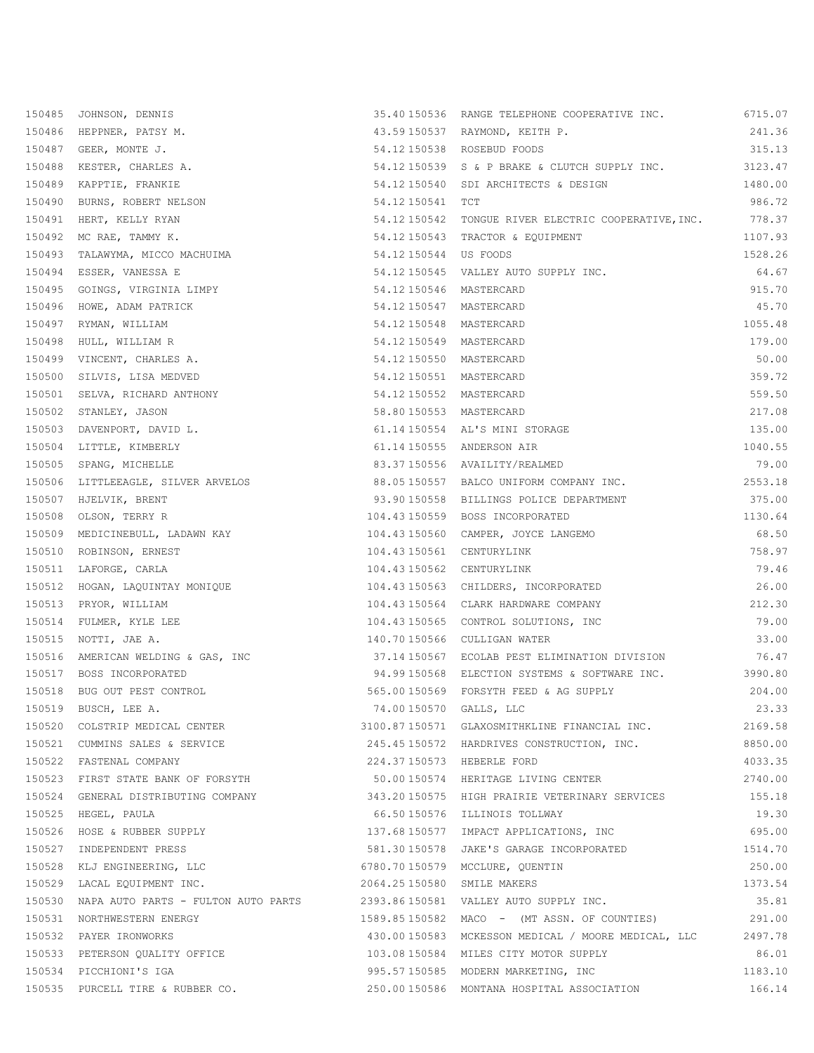| 150485 JOHNSON, DENNIS                                                           |                             | 35.40 150536 RANGE TELEPHONE COOPERATIVE INC.                                     | 6715.07 |
|----------------------------------------------------------------------------------|-----------------------------|-----------------------------------------------------------------------------------|---------|
| 150486 HEPPNER, PATSY M.                                                         |                             | 43.59150537 RAYMOND, KEITH P.                                                     | 241.36  |
| 150487 GEER, MONTE J.                                                            |                             | 54.12 150538 ROSEBUD FOODS                                                        | 315.13  |
| 150488 KESTER, CHARLES A.                                                        |                             | 54.12 150539 S & P BRAKE & CLUTCH SUPPLY INC. 3123.47                             |         |
| 150489 KAPPTIE, FRANKIE                                                          |                             | 54.12150540 SDI ARCHITECTS & DESIGN                                               | 1480.00 |
| 150490 BURNS, ROBERT NELSON                                                      | 54.12150541 TCT             |                                                                                   | 986.72  |
| 150491 HERT, KELLY RYAN                                                          |                             | 54.12 150542 TONGUE RIVER ELECTRIC COOPERATIVE, INC. 778.37                       |         |
| 150492 MC RAE, TAMMY K.                                                          |                             | 54.12 150543 TRACTOR & EQUIPMENT                                                  | 1107.93 |
| 150493 TALAWYMA, MICCO MACHUIMA                                                  | 54.12150544 US FOODS        |                                                                                   | 1528.26 |
|                                                                                  |                             | 54.12 150545 VALLEY AUTO SUPPLY INC.                                              | 64.67   |
| South, VANESSA E<br>150495 GOINGS, VIRGINIA LIMPY<br>150496 Home South           | 54.12 150546 MASTERCARD     |                                                                                   | 915.70  |
| 150496 HOWE, ADAM PATRICK                                                        | 54.12 150547 MASTERCARD     |                                                                                   | 45.70   |
| 150497 RYMAN, WILLIAM                                                            | 54.12 150548 MASTERCARD     |                                                                                   | 1055.48 |
| 150498 HULL, WILLIAM R                                                           | 54.12 150549 MASTERCARD     |                                                                                   | 179.00  |
| 150499 VINCENT, CHARLES A.                                                       | 54.12 150550 MASTERCARD     |                                                                                   | 50.00   |
| 150500 SILVIS, LISA MEDVED                                                       | 54.12 150551 MASTERCARD     |                                                                                   | 359.72  |
| 150501 SELVA, RICHARD ANTHONY                                                    | 54.12 150552 MASTERCARD     |                                                                                   | 559.50  |
| 150502 STANLEY, JASON                                                            | 58.80150553 MASTERCARD      |                                                                                   | 217.08  |
| 150503 DAVENPORT, DAVID L.                                                       |                             | 61.14 150554 AL'S MINI STORAGE                                                    | 135.00  |
| 150504 LITTLE, KIMBERLY                                                          |                             | 61.14 150555 ANDERSON AIR                                                         | 1040.55 |
| 150505 SPANG, MICHELLE                                                           |                             | 83.37150556 AVAILITY/REALMED                                                      | 79.00   |
| 150506 LITTLEEAGLE, SILVER ARVELOS                                               |                             | 88.05 150557 BALCO UNIFORM COMPANY INC.                                           | 2553.18 |
| 150507 HJELVIK, BRENT                                                            |                             | 93.90 150558 BILLINGS POLICE DEPARTMENT                                           | 375.00  |
| 150508 OLSON, TERRY R                                                            |                             | 104.43150559 BOSS INCORPORATED                                                    | 1130.64 |
| 150509 MEDICINEBULL, LADAWN KAY 104.43150560 CAMPER, JOYCE LANGEMO               |                             |                                                                                   | 68.50   |
| 150510 ROBINSON, ERNEST                                                          | 104.43150561 CENTURYLINK    |                                                                                   | 758.97  |
| 150511 LAFORGE, CARLA                                                            | 104.43150562 CENTURYLINK    |                                                                                   | 79.46   |
| 150512 HOGAN, LAQUINTAY MONIQUE 104.43150563 CHILDERS, INCORPORATED              |                             |                                                                                   | 26.00   |
| 150513 PRYOR, WILLIAM                                                            |                             | 104.43150564 CLARK HARDWARE COMPANY                                               | 212.30  |
| 150514 FULMER, KYLE LEE                                                          |                             | 104.43150565 CONTROL SOLUTIONS, INC                                               | 79.00   |
| 150515 NOTTI, JAE A.                                                             |                             | 140.70150566 CULLIGAN WATER                                                       | 33.00   |
| 150516 AMERICAN WELDING & GAS, INC                                               |                             | 37.14150567 ECOLAB PEST ELIMINATION DIVISION                                      | 76.47   |
| 150517 BOSS INCORPORATED                                                         |                             | 94.99 150568 ELECTION SYSTEMS & SOFTWARE INC. 3990.80                             |         |
| 150518 BUG OUT PEST CONTROL                                                      |                             | 565.00150569 FORSYTH FEED & AG SUPPLY                                             | 204.00  |
|                                                                                  | 74.00150570 GALLS, LLC      |                                                                                   | 23.33   |
| 150519 BUSCH, LEE A.<br>150520 COLSTRIP MEDICAL CENTER                           |                             | 3100.87 150571 GLAXOSMITHKLINE FINANCIAL INC.                                     | 2169.58 |
| 150521 CUMMINS SALES & SERVICE                                                   |                             | 245.45 150572 HARDRIVES CONSTRUCTION, INC.                                        | 8850.00 |
| 150522 FASTENAL COMPANY                                                          | 224.37150573 HEBERLE FORD   |                                                                                   | 4033.35 |
| 150523 FIRST STATE BANK OF FORSYTH                                               |                             | 50.00150574 HERITAGE LIVING CENTER                                                | 2740.00 |
|                                                                                  |                             | 150524 GENERAL DISTRIBUTING COMPANY 343.20150575 HIGH PRAIRIE VETERINARY SERVICES | 155.18  |
| 150525 HEGEL, PAULA                                                              |                             | 66.50150576 ILLINOIS TOLLWAY                                                      | 19.30   |
| 150526 HOSE & RUBBER SUPPLY                                                      |                             | 137.68 150577 IMPACT APPLICATIONS, INC                                            | 695.00  |
| 150527 INDEPENDENT PRESS                                                         |                             | 581.30 150578 JAKE'S GARAGE INCORPORATED                                          | 1514.70 |
| 150528 KLJ ENGINEERING, LLC 6780.70150579 MCCLURE, QUENTIN                       |                             |                                                                                   | 250.00  |
| 150529 LACAL EQUIPMENT INC.                                                      | 2064.25 150580 SMILE MAKERS |                                                                                   | 1373.54 |
| 150530 NAPA AUTO PARTS - FULTON AUTO PARTS 2393.86150581 VALLEY AUTO SUPPLY INC. |                             |                                                                                   | 35.81   |
| 150531 NORTHWESTERN ENERGY                                                       |                             | 1589.85150582 MACO - (MT ASSN. OF COUNTIES)                                       | 291.00  |
| 150532 PAYER IRONWORKS                                                           |                             | 430.00150583 MCKESSON MEDICAL / MOORE MEDICAL, LLC                                | 2497.78 |
| 150533 PETERSON QUALITY OFFICE 103.08 150584 MILES CITY MOTOR SUPPLY             |                             |                                                                                   | 86.01   |
| 150534 PICCHIONI'S IGA                                                           |                             | 995.57 150585   MODERN MARKETING, INC                                             | 1183.10 |
| 150535 PURCELL TIRE & RUBBER CO.                                                 |                             | 250.00150586 MONTANA HOSPITAL ASSOCIATION                                         | 166.14  |
|                                                                                  |                             |                                                                                   |         |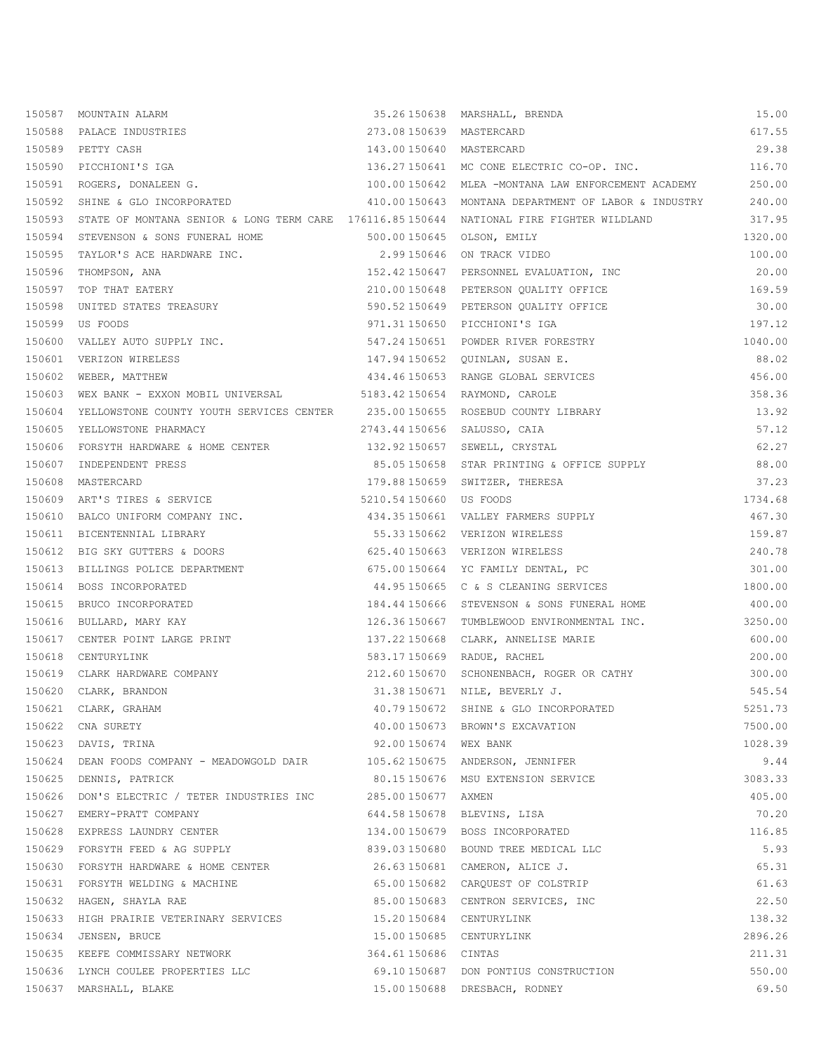|        | 150587 MOUNTAIN ALARM                                                                                                          |                            | 35.26150638 MARSHALL, BRENDA                               | 15.00   |
|--------|--------------------------------------------------------------------------------------------------------------------------------|----------------------------|------------------------------------------------------------|---------|
|        | 150588 PALACE INDUSTRIES                                                                                                       | 273.08 150639 MASTERCARD   |                                                            | 617.55  |
|        | 150589 PETTY CASH                                                                                                              | 143.00150640 MASTERCARD    |                                                            | 29.38   |
|        | 150590 PICCHIONI'S IGA                                                                                                         |                            | 136.27 150641 MC CONE ELECTRIC CO-OP. INC. 116.70          |         |
|        | 150591 ROGERS, DONALEEN G.                                                                                                     |                            | 100.00150642 MLEA -MONTANA LAW ENFORCEMENT ACADEMY 250.00  |         |
|        | 150592 SHINE & GLO INCORPORATED                                                                                                |                            | 410.00150643 MONTANA DEPARTMENT OF LABOR & INDUSTRY 240.00 |         |
|        | 150593 STATE OF MONTANA SENIOR & LONG TERM CARE 176116.85150644 NATIONAL FIRE FIGHTER WILDLAND                                 |                            |                                                            | 317.95  |
|        | 150594 STEVENSON & SONS FUNERAL HOME 500.00150645 OLSON, EMILY                                                                 |                            |                                                            | 1320.00 |
|        | 150595 TAYLOR'S ACE HARDWARE INC. 2.99 150646 ON TRACK VIDEO                                                                   |                            |                                                            | 100.00  |
|        | 150596 THOMPSON, ANA                                                                                                           |                            | 152.42 150647 PERSONNEL EVALUATION, INC                    | 20.00   |
|        | 150597 TOP THAT EATERY                                                                                                         |                            | 210.00150648 PETERSON QUALITY OFFICE                       | 169.59  |
|        | 150598 UNITED STATES TREASURY                                                                                                  |                            | 590.52150649 PETERSON QUALITY OFFICE                       | 30.00   |
|        | 150599 US FOODS                                                                                                                |                            | 971.31 150650    PICCHIONI'S IGA                           | 197.12  |
|        | 150600 VALLEY AUTO SUPPLY INC.<br>547.24 150651 POWDER RIVER FORESTRY                                                          |                            |                                                            | 1040.00 |
|        | 150601 VERIZON WIRELESS                                                                                                        |                            | 147.94 150652 QUINLAN, SUSAN E.                            | 88.02   |
|        | 150602 WEBER, MATTHEW                                                                                                          |                            | 434.46150653 RANGE GLOBAL SERVICES                         | 456.00  |
|        | 150603 WEX BANK - EXXON MOBIL UNIVERSAL 5183.42150654 RAYMOND, CAROLE                                                          |                            |                                                            | 358.36  |
|        | 150604 YELLOWSTONE COUNTY YOUTH SERVICES CENTER 235.00150655 ROSEBUD COUNTY LIBRARY                                            |                            |                                                            | 13.92   |
|        | 150605 YELLOWSTONE PHARMACY 2743.44 150656 SALUSSO, CAIA                                                                       |                            |                                                            | 57.12   |
|        | 2730.33 190090 SALUSSO, CAIA<br>150606 FORSYTH HARDWARE & HOME CENTER 132.92150657 SEWELL, CRYSTAL<br>150607 INDEPENDENT PRESS |                            |                                                            | 62.27   |
|        | 150607 INDEPENDENT PRESS                                                                                                       |                            | 85.05150658 STAR PRINTING & OFFICE SUPPLY                  | 88.00   |
|        | 150608 MASTERCARD                                                                                                              |                            | 179.88150659 SWITZER, THERESA                              | 37.23   |
|        | 150609 ART'S TIRES & SERVICE 6 6 16 16 17 18 18 19 18 19 18 19 18 19 19 19 19 19 19 19 19 19 19 19 1                           |                            |                                                            | 1734.68 |
|        | 150610 BALCO UNIFORM COMPANY INC. 434.35150661 VALLEY FARMERS SUPPLY                                                           |                            |                                                            | 467.30  |
|        | 150611 BICENTENNIAL LIBRARY                                                                                                    |                            | 55.33 150662    VERIZON WIRELESS                           | 159.87  |
|        | 150612 BIG SKY GUTTERS & DOORS                                                                                                 |                            | 625.40150663 VERIZON WIRELESS                              | 240.78  |
|        | 150613 BILLINGS POLICE DEPARTMENT                                                                                              |                            | 675.00150664 YC FAMILY DENTAL, PC                          | 301.00  |
|        | 150614 BOSS INCORPORATED                                                                                                       |                            | 44.95150665 C & S CLEANING SERVICES                        | 1800.00 |
|        | 150615 BRUCO INCORPORATED                                                                                                      |                            | 184.44 150666 STEVENSON & SONS FUNERAL HOME                | 400.00  |
|        | 150616 BULLARD, MARY KAY                                                                                                       |                            | 126.36 150667 TUMBLEWOOD ENVIRONMENTAL INC.                | 3250.00 |
|        |                                                                                                                                |                            | 137.22 150668 CLARK, ANNELISE MARIE                        | 600.00  |
|        | 150617 CENTER POINT LARGE PRINT<br>150618 CENTURYLINK<br>150618 CENTURYLINK                                                    |                            | 583.17150669 RADUE, RACHEL                                 | 200.00  |
|        | 150619 CLARK HARDWARE COMPANY 212.60150670 SCHONENBACH, ROGER OR CATHY                                                         |                            |                                                            | 300.00  |
|        | 31.38 150671 NILE, BEVERLY J.<br>150620 CLARK, BRANDON                                                                         |                            |                                                            | 545.54  |
| 150621 | CLARK, GRAHAM                                                                                                                  |                            | 40.79150672 SHINE & GLO INCORPORATED                       | 5251.73 |
| 150622 | CNA SURETY                                                                                                                     |                            | 40.00 150673 BROWN'S EXCAVATION                            | 7500.00 |
|        | 150623 DAVIS, TRINA                                                                                                            | 92.00150674 WEX BANK       |                                                            | 1028.39 |
|        | 150624 DEAN FOODS COMPANY - MEADOWGOLD DAIR 105.62150675 ANDERSON, JENNIFER                                                    |                            |                                                            | 9.44    |
|        | 150625 DENNIS, PATRICK                                                                                                         |                            | 80.15150676 MSU EXTENSION SERVICE                          | 3083.33 |
|        | 150626 DON'S ELECTRIC / TETER INDUSTRIES INC 285.00150677 AXMEN                                                                |                            |                                                            | 405.00  |
| 150627 | EMERY-PRATT COMPANY                                                                                                            | 644.58150678 BLEVINS, LISA |                                                            | 70.20   |
|        | 150628 EXPRESS LAUNDRY CENTER                                                                                                  |                            | 134.00150679 BOSS INCORPORATED                             | 116.85  |
|        | 150629 FORSYTH FEED & AG SUPPLY                                                                                                |                            | 839.03150680 BOUND TREE MEDICAL LLC                        | 5.93    |
|        | 150630 FORSYTH HARDWARE & HOME CENTER                                                                                          |                            | 26.63150681 CAMERON, ALICE J.                              | 65.31   |
|        | 150631 FORSYTH WELDING & MACHINE<br>65.00150682 CARQUEST OF COLSTRIP                                                           |                            |                                                            | 61.63   |
|        | 150632 HAGEN, SHAYLA RAE                                                                                                       |                            | 85.00150683 CENTRON SERVICES, INC                          | 22.50   |
|        | 150633 HIGH PRAIRIE VETERINARY SERVICES 15.20150684 CENTURYLINK                                                                |                            |                                                            | 138.32  |
|        | 150634 JENSEN, BRUCE                                                                                                           | 15.00150685 CENTURYLINK    |                                                            | 2896.26 |
|        | 150635 KEEFE COMMISSARY NETWORK                                                                                                | 364.61 150686 CINTAS       |                                                            | 211.31  |
|        | 150636 LYNCH COULEE PROPERTIES LLC                                                                                             |                            | 69.10150687 DON PONTIUS CONSTRUCTION                       | 550.00  |
|        | 150637 MARSHALL, BLAKE                                                                                                         |                            | 15.00 150688 DRESBACH, RODNEY                              | 69.50   |